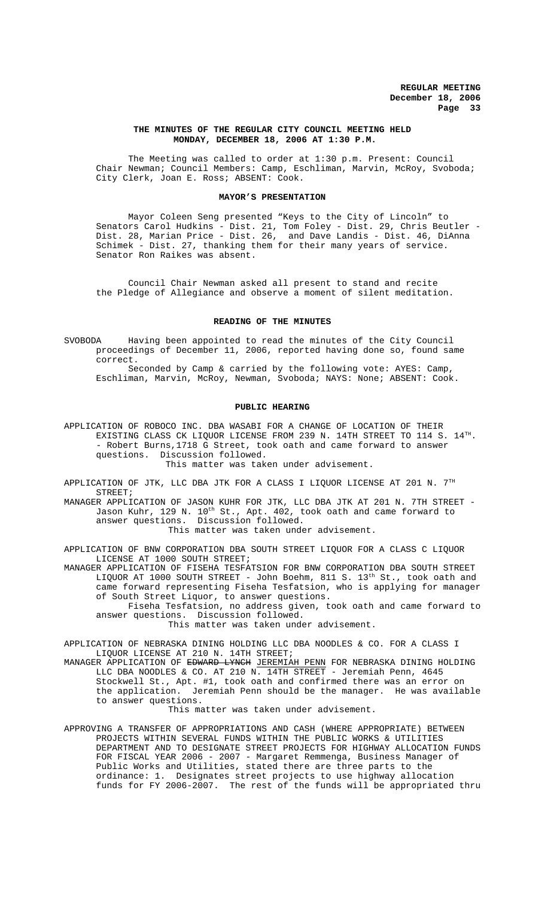#### **THE MINUTES OF THE REGULAR CITY COUNCIL MEETING HELD MONDAY, DECEMBER 18, 2006 AT 1:30 P.M.**

The Meeting was called to order at 1:30 p.m. Present: Council Chair Newman; Council Members: Camp, Eschliman, Marvin, McRoy, Svoboda; City Clerk, Joan E. Ross; ABSENT: Cook.

#### **MAYOR'S PRESENTATION**

Mayor Coleen Seng presented "Keys to the City of Lincoln" to Senators Carol Hudkins - Dist. 21, Tom Foley - Dist. 29, Chris Beutler - Dist. 28, Marian Price - Dist. 26, and Dave Landis - Dist. 46, DiAnna Schimek - Dist. 27, thanking them for their many years of service. Senator Ron Raikes was absent.

Council Chair Newman asked all present to stand and recite the Pledge of Allegiance and observe a moment of silent meditation.

## **READING OF THE MINUTES**

SVOBODA Having been appointed to read the minutes of the City Council proceedings of December 11, 2006, reported having done so, found same correct.

Seconded by Camp & carried by the following vote: AYES: Camp, Eschliman, Marvin, McRoy, Newman, Svoboda; NAYS: None; ABSENT: Cook.

### **PUBLIC HEARING**

APPLICATION OF ROBOCO INC. DBA WASABI FOR A CHANGE OF LOCATION OF THEIR EXISTING CLASS CK LIQUOR LICENSE FROM 239 N. 14TH STREET TO 114 S.  $14^{TH}$ . - Robert Burns,1718 G Street, took oath and came forward to answer questions. Discussion followed. This matter was taken under advisement.

APPLICATION OF JTK, LLC DBA JTK FOR A CLASS I LIQUOR LICENSE AT 201 N.  $7^{\text{TH}}$ STREET;

MANAGER APPLICATION OF JASON KUHR FOR JTK, LLC DBA JTK AT 201 N. 7TH STREET - Jason Kuhr, 129 N. 10th St., Apt. 402, took oath and came forward to answer questions. Discussion followed.

This matter was taken under advisement.

APPLICATION OF BNW CORPORATION DBA SOUTH STREET LIQUOR FOR A CLASS C LIQUOR LICENSE AT 1000 SOUTH STREET;

MANAGER APPLICATION OF FISEHA TESFATSION FOR BNW CORPORATION DBA SOUTH STREET LIQUOR AT 1000 SOUTH STREET - John Boehm, 811 S. 13th St., took oath and came forward representing Fiseha Tesfatsion, who is applying for manager of South Street Liquor, to answer questions.

Fiseha Tesfatsion, no address given, took oath and came forward to answer questions. Discussion followed.

This matter was taken under advisement.

APPLICATION OF NEBRASKA DINING HOLDING LLC DBA NOODLES & CO. FOR A CLASS I LIQUOR LICENSE AT 210 N. 14TH STREET;

MANAGER APPLICATION OF EDWARD LYNCH JEREMIAH PENN FOR NEBRASKA DINING HOLDING LLC DBA NOODLES & CO. AT 210 N. 14TH STREET - Jeremiah Penn, 4645 Stockwell St., Apt. #1, took oath and confirmed there was an error on the application. Jeremiah Penn should be the manager. He was available to answer questions.

This matter was taken under advisement.

APPROVING A TRANSFER OF APPROPRIATIONS AND CASH (WHERE APPROPRIATE) BETWEEN PROJECTS WITHIN SEVERAL FUNDS WITHIN THE PUBLIC WORKS & UTILITIES DEPARTMENT AND TO DESIGNATE STREET PROJECTS FOR HIGHWAY ALLOCATION FUNDS FOR FISCAL YEAR 2006 - 2007 - Margaret Remmenga, Business Manager of Public Works and Utilities, stated there are three parts to the ordinance: 1. Designates street projects to use highway allocation funds for FY 2006-2007. The rest of the funds will be appropriated thru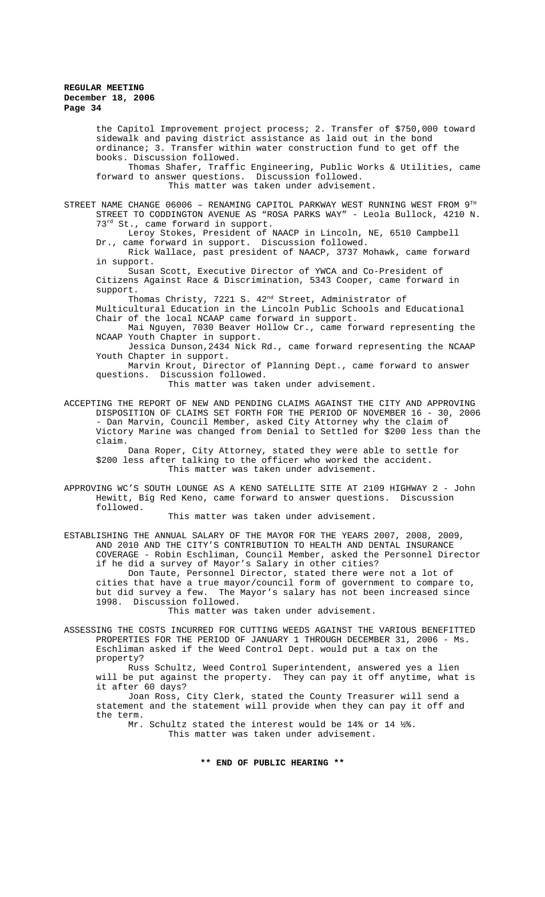the Capitol Improvement project process; 2. Transfer of \$750,000 toward sidewalk and paving district assistance as laid out in the bond ordinance; 3. Transfer within water construction fund to get off the books. Discussion followed.

Thomas Shafer, Traffic Engineering, Public Works & Utilities, came forward to answer questions. Discussion followed. This matter was taken under advisement.

STREET NAME CHANGE  $06006$  - RENAMING CAPITOL PARKWAY WEST RUNNING WEST FROM  $9^{TH}$ STREET TO CODDINGTON AVENUE AS "ROSA PARKS WAY" - Leola Bullock, 4210 N. 73<sup>rd</sup> St., came forward in support.

Leroy Stokes, President of NAACP in Lincoln, NE, 6510 Campbell Dr., came forward in support. Discussion followed.

Rick Wallace, past president of NAACP, 3737 Mohawk, came forward in support.

Susan Scott, Executive Director of YWCA and Co-President of Citizens Against Race & Discrimination, 5343 Cooper, came forward in support.

Thomas Christy, 7221 S. 42<sup>nd</sup> Street, Administrator of

Multicultural Education in the Lincoln Public Schools and Educational Chair of the local NCAAP came forward in support.

Mai Nguyen, 7030 Beaver Hollow Cr., came forward representing the NCAAP Youth Chapter in support.

Jessica Dunson,2434 Nick Rd., came forward representing the NCAAP Youth Chapter in support.

Marvin Krout, Director of Planning Dept., came forward to answer questions. Discussion followed.

This matter was taken under advisement.

ACCEPTING THE REPORT OF NEW AND PENDING CLAIMS AGAINST THE CITY AND APPROVING DISPOSITION OF CLAIMS SET FORTH FOR THE PERIOD OF NOVEMBER 16 - 30, 2006 - Dan Marvin, Council Member, asked City Attorney why the claim of Victory Marine was changed from Denial to Settled for \$200 less than the claim.

Dana Roper, City Attorney, stated they were able to settle for \$200 less after talking to the officer who worked the accident. This matter was taken under advisement.

APPROVING WC'S SOUTH LOUNGE AS A KENO SATELLITE SITE AT 2109 HIGHWAY 2 - John Hewitt, Big Red Keno, came forward to answer questions. Discussion followed.

This matter was taken under advisement.

ESTABLISHING THE ANNUAL SALARY OF THE MAYOR FOR THE YEARS 2007, 2008, 2009, AND 2010 AND THE CITY'S CONTRIBUTION TO HEALTH AND DENTAL INSURANCE COVERAGE - Robin Eschliman, Council Member, asked the Personnel Director if he did a survey of Mayor's Salary in other cities?

Don Taute, Personnel Director, stated there were not a lot of cities that have a true mayor/council form of government to compare to,<br>but did survey a few. The Mayor's salary has not been increased since The Mayor's salary has not been increased since 1998. Discussion followed.

This matter was taken under advisement.

ASSESSING THE COSTS INCURRED FOR CUTTING WEEDS AGAINST THE VARIOUS BENEFITTED PROPERTIES FOR THE PERIOD OF JANUARY 1 THROUGH DECEMBER 31, 2006 - Ms. Eschliman asked if the Weed Control Dept. would put a tax on the property?

Russ Schultz, Weed Control Superintendent, answered yes a lien will be put against the property. They can pay it off anytime, what is it after 60 days?

Joan Ross, City Clerk, stated the County Treasurer will send a statement and the statement will provide when they can pay it off and the term.

Mr. Schultz stated the interest would be 14% or 14 ½%. This matter was taken under advisement.

**\*\* END OF PUBLIC HEARING \*\***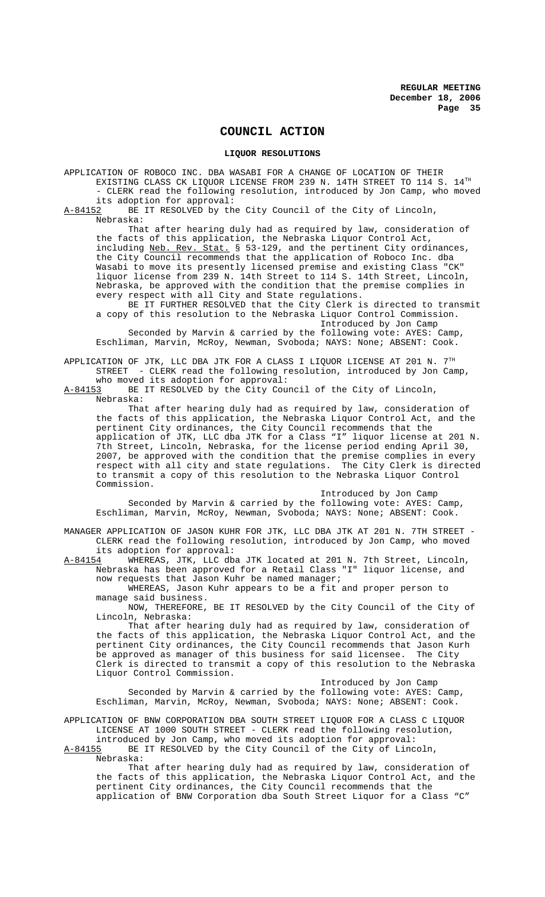## **COUNCIL ACTION**

## **LIQUOR RESOLUTIONS**

APPLICATION OF ROBOCO INC. DBA WASABI FOR A CHANGE OF LOCATION OF THEIR EXISTING CLASS CK LIQUOR LICENSE FROM 239 N. 14TH STREET TO 114 S.  $14^{TH}$ - CLERK read the following resolution, introduced by Jon Camp, who moved

its adoption for approval:<br>A-84152 BE IT RESOLVED by th BE IT RESOLVED by the City Council of the City of Lincoln, Nebraska:

That after hearing duly had as required by law, consideration of the facts of this application, the Nebraska Liquor Control Act, including Neb. Rev. Stat. § 53-129, and the pertinent City ordinances, the City Council recommends that the application of Roboco Inc. dba Wasabi to move its presently licensed premise and existing Class "CK" liquor license from 239 N. 14th Street to 114 S. 14th Street, Lincoln, Nebraska, be approved with the condition that the premise complies in every respect with all City and State regulations.

BE IT FURTHER RESOLVED that the City Clerk is directed to transmit a copy of this resolution to the Nebraska Liquor Control Commission. Introduced by Jon Camp

Seconded by Marvin & carried by the following vote: AYES: Camp, Eschliman, Marvin, McRoy, Newman, Svoboda; NAYS: None; ABSENT: Cook.

APPLICATION OF JTK, LLC DBA JTK FOR A CLASS I LIQUOR LICENSE AT 201 N. 7TH STREET - CLERK read the following resolution, introduced by Jon Camp,

who moved its adoption for approval:<br>A-84153 BE IT RESOLVED by the City Cour BE IT RESOLVED by the City Council of the City of Lincoln, Nebraska:

That after hearing duly had as required by law, consideration of the facts of this application, the Nebraska Liquor Control Act, and the pertinent City ordinances, the City Council recommends that the application of JTK, LLC dba JTK for a Class "I" liquor license at 201 N. 7th Street, Lincoln, Nebraska, for the license period ending April 30, 2007, be approved with the condition that the premise complies in every respect with all city and state regulations. The City Clerk is directed to transmit a copy of this resolution to the Nebraska Liquor Control Commission.

Introduced by Jon Camp

Seconded by Marvin & carried by the following vote: AYES: Camp, Eschliman, Marvin, McRoy, Newman, Svoboda; NAYS: None; ABSENT: Cook.

MANAGER APPLICATION OF JASON KUHR FOR JTK, LLC DBA JTK AT 201 N. 7TH STREET - CLERK read the following resolution, introduced by Jon Camp, who moved its adoption for approval:<br>A-84154 WHEREAS, JTK, LLC dba

WHEREAS, JTK, LLC dba JTK located at 201 N. 7th Street, Lincoln, Nebraska has been approved for a Retail Class "I" liquor license, and now requests that Jason Kuhr be named manager;

WHEREAS, Jason Kuhr appears to be a fit and proper person to manage said business.

NOW, THEREFORE, BE IT RESOLVED by the City Council of the City of Lincoln, Nebraska:

That after hearing duly had as required by law, consideration of the facts of this application, the Nebraska Liquor Control Act, and the pertinent City ordinances, the City Council recommends that Jason Kurh<br>be approved as manager of this business for said licensee. The City be approved as manager of this business for said licensee. Clerk is directed to transmit a copy of this resolution to the Nebraska Liquor Control Commission.

Introduced by Jon Camp

Seconded by Marvin & carried by the following vote: AYES: Camp, Eschliman, Marvin, McRoy, Newman, Svoboda; NAYS: None; ABSENT: Cook.

APPLICATION OF BNW CORPORATION DBA SOUTH STREET LIQUOR FOR A CLASS C LIQUOR LICENSE AT 1000 SOUTH STREET - CLERK read the following resolution, introduced by Jon Camp, who moved its adoption for approval:

A-84155 BE IT RESOLVED by the City Council of the City of Lincoln,

Nebraska:

That after hearing duly had as required by law, consideration of the facts of this application, the Nebraska Liquor Control Act, and the pertinent City ordinances, the City Council recommends that the application of BNW Corporation dba South Street Liquor for a Class "C"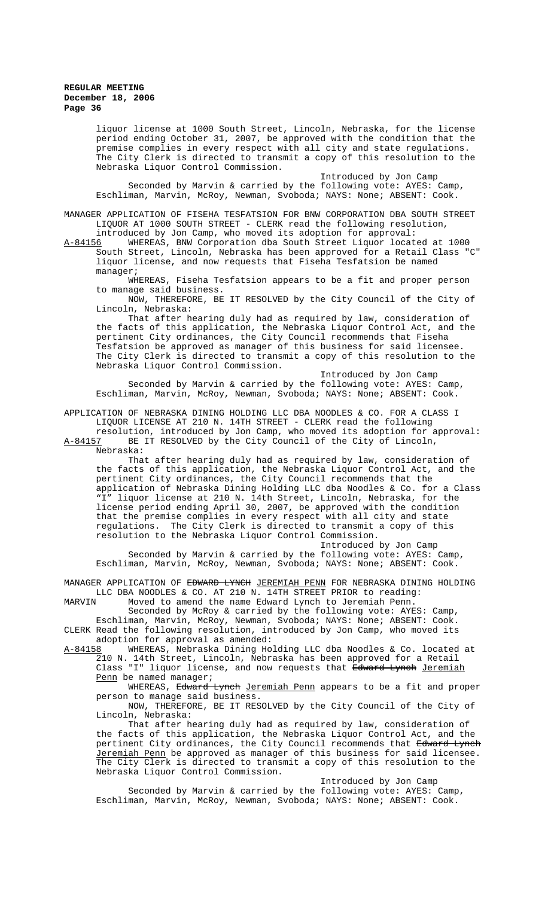liquor license at 1000 South Street, Lincoln, Nebraska, for the license period ending October 31, 2007, be approved with the condition that the premise complies in every respect with all city and state regulations. The City Clerk is directed to transmit a copy of this resolution to the Nebraska Liquor Control Commission.

Introduced by Jon Camp Seconded by Marvin & carried by the following vote: AYES: Camp, Eschliman, Marvin, McRoy, Newman, Svoboda; NAYS: None; ABSENT: Cook.

MANAGER APPLICATION OF FISEHA TESFATSION FOR BNW CORPORATION DBA SOUTH STREET LIQUOR AT 1000 SOUTH STREET - CLERK read the following resolution, introduced by Jon Camp, who moved its adoption for approval:<br>A-84156 WHEREAS, BNW Corporation dba South Street Liquor locat

WHEREAS, BNW Corporation dba South Street Liquor located at 1000 South Street, Lincoln, Nebraska has been approved for a Retail Class "C" liquor license, and now requests that Fiseha Tesfatsion be named manager;

WHEREAS, Fiseha Tesfatsion appears to be a fit and proper person to manage said business.

NOW, THEREFORE, BE IT RESOLVED by the City Council of the City of Lincoln, Nebraska:

That after hearing duly had as required by law, consideration of the facts of this application, the Nebraska Liquor Control Act, and the pertinent City ordinances, the City Council recommends that Fiseha Tesfatsion be approved as manager of this business for said licensee. The City Clerk is directed to transmit a copy of this resolution to the Nebraska Liquor Control Commission.

Introduced by Jon Camp Seconded by Marvin & carried by the following vote: AYES: Camp, Eschliman, Marvin, McRoy, Newman, Svoboda; NAYS: None; ABSENT: Cook.

APPLICATION OF NEBRASKA DINING HOLDING LLC DBA NOODLES & CO. FOR A CLASS I LIQUOR LICENSE AT 210 N. 14TH STREET - CLERK read the following

resolution, introduced by Jon Camp, who moved its adoption for approval: A-84157 BE IT RESOLVED by the City Council of the City of Lincoln, Nebraska:

That after hearing duly had as required by law, consideration of the facts of this application, the Nebraska Liquor Control Act, and the pertinent City ordinances, the City Council recommends that the application of Nebraska Dining Holding LLC dba Noodles & Co. for a Class "I" liquor license at 210 N. 14th Street, Lincoln, Nebraska, for the license period ending April 30, 2007, be approved with the condition that the premise complies in every respect with all city and state regulations. The City Clerk is directed to transmit a copy of this resolution to the Nebraska Liquor Control Commission.

Introduced by Jon Camp Seconded by Marvin & carried by the following vote: AYES: Camp, Eschliman, Marvin, McRoy, Newman, Svoboda; NAYS: None; ABSENT: Cook.

MANAGER APPLICATION OF <del>EDWARD LYNCH</del> <u>JEREMIAH PENN</u> FOR NEBRASKA DINING HOLDING LLC DBA NOODLES & CO. AT 210 N. 14TH STREET PRIOR to reading:

MARVIN Moved to amend the name Edward Lynch to Jeremiah Penn. Seconded by McRoy & carried by the following vote: AYES: Camp,

Eschliman, Marvin, McRoy, Newman, Svoboda; NAYS: None; ABSENT: Cook. CLERK Read the following resolution, introduced by Jon Camp, who moved its adoption for approval as amended:<br><u>A-84158</u> WHEREAS, Nebraska Dining Ho

WHEREAS, Nebraska Dining Holding LLC dba Noodles & Co. located at 210 N. 14th Street, Lincoln, Nebraska has been approved for a Retail Class "I" liquor license, and now requests that <del>Edward Lynch</del> <u>Jeremiah</u> Penn be named manager;

WHEREAS, Edward Lynch Jeremiah Penn appears to be a fit and proper person to manage said business.

NOW, THEREFORE, BE IT RESOLVED by the City Council of the City of Lincoln, Nebraska:

That after hearing duly had as required by law, consideration of the facts of this application, the Nebraska Liquor Control Act, and the pertinent City ordinances, the City Council recommends that Edward Lynch Jeremiah Penn be approved as manager of this business for said licensee. The City Clerk is directed to transmit a copy of this resolution to the Nebraska Liquor Control Commission.

Introduced by Jon Camp

Seconded by Marvin & carried by the following vote: AYES: Camp, Eschliman, Marvin, McRoy, Newman, Svoboda; NAYS: None; ABSENT: Cook.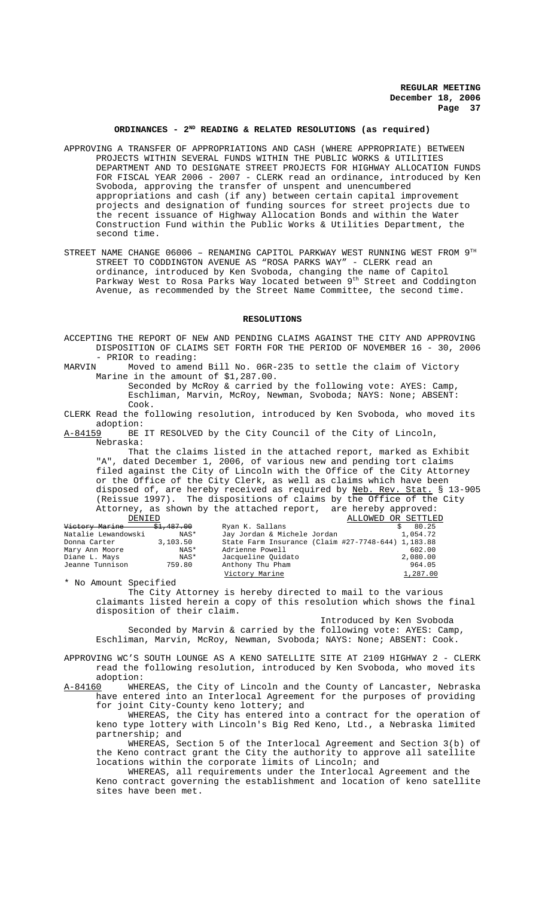## ORDINANCES - 2<sup>ND</sup> READING & RELATED RESOLUTIONS (as required)

- APPROVING A TRANSFER OF APPROPRIATIONS AND CASH (WHERE APPROPRIATE) BETWEEN PROJECTS WITHIN SEVERAL FUNDS WITHIN THE PUBLIC WORKS & UTILITIES DEPARTMENT AND TO DESIGNATE STREET PROJECTS FOR HIGHWAY ALLOCATION FUNDS FOR FISCAL YEAR 2006 - 2007 - CLERK read an ordinance, introduced by Ken Svoboda, approving the transfer of unspent and unencumbered appropriations and cash (if any) between certain capital improvement projects and designation of funding sources for street projects due to the recent issuance of Highway Allocation Bonds and within the Water Construction Fund within the Public Works & Utilities Department, the second time.
- STREET NAME CHANGE 06006 RENAMING CAPITOL PARKWAY WEST RUNNING WEST FROM 9TH STREET TO CODDINGTON AVENUE AS "ROSA PARKS WAY" - CLERK read an ordinance, introduced by Ken Svoboda, changing the name of Capitol Parkway West to Rosa Parks Way located between 9<sup>th</sup> Street and Coddington Avenue, as recommended by the Street Name Committee, the second time.

### **RESOLUTIONS**

- ACCEPTING THE REPORT OF NEW AND PENDING CLAIMS AGAINST THE CITY AND APPROVING DISPOSITION OF CLAIMS SET FORTH FOR THE PERIOD OF NOVEMBER 16 - 30, 2006 - PRIOR to reading:<br>MARVIN Moved to amen
- Moved to amend Bill No. 06R-235 to settle the claim of Victory Marine in the amount of \$1,287.00.

Seconded by McRoy & carried by the following vote: AYES: Camp, Eschliman, Marvin, McRoy, Newman, Svoboda; NAYS: None; ABSENT: Cook.

- CLERK Read the following resolution, introduced by Ken Svoboda, who moved its adoption:<br>A-84159 BE
- BE IT RESOLVED by the City Council of the City of Lincoln, Nebraska:

That the claims listed in the attached report, marked as Exhibit "A", dated December 1, 2006, of various new and pending tort claims filed against the City of Lincoln with the Office of the City Attorney or the Office of the City Clerk, as well as claims which have been disposed of, are hereby received as required by Neb. Rev. Stat. § 13-905 (Reissue 1997). The dispositions of claims by the Office of the City Attorney, as shown by the attached report, are hereby approved:

| DENIED              |            |                                                    | ALLOWED OR SETTLED |
|---------------------|------------|----------------------------------------------------|--------------------|
| Victory Marine      | \$1,487.00 | Ryan K. Sallans                                    | 80.25              |
| Natalie Lewandowski | NAS*       | Jay Jordan & Michele Jordan                        | 1,054.72           |
| Donna Carter        | 3,103.50   | State Farm Insurance (Claim #27-7748-644) 1,183.88 |                    |
| Mary Ann Moore      | NAS*       | Adrienne Powell                                    | 602.00             |
| Diane L. Mays       | NAS*       | Jacqueline Ouidato                                 | 2,080.00           |
| Jeanne Tunnison     | 759.80     | Anthony Thu Pham                                   | 964.05             |
|                     |            | Victory Marine                                     | 1,287.00           |

\* No Amount Specified

The City Attorney is hereby directed to mail to the various claimants listed herein a copy of this resolution which shows the final disposition of their claim.

Introduced by Ken Svoboda Seconded by Marvin & carried by the following vote: AYES: Camp, Eschliman, Marvin, McRoy, Newman, Svoboda; NAYS: None; ABSENT: Cook.

APPROVING WC'S SOUTH LOUNGE AS A KENO SATELLITE SITE AT 2109 HIGHWAY 2 - CLERK read the following resolution, introduced by Ken Svoboda, who moved its adoption:

A-84160 WHEREAS, the City of Lincoln and the County of Lancaster, Nebraska have entered into an Interlocal Agreement for the purposes of providing for joint City-County keno lottery; and

WHEREAS, the City has entered into a contract for the operation of keno type lottery with Lincoln's Big Red Keno, Ltd., a Nebraska limited partnership; and

WHEREAS, Section 5 of the Interlocal Agreement and Section 3(b) of the Keno contract grant the City the authority to approve all satellite locations within the corporate limits of Lincoln; and

WHEREAS, all requirements under the Interlocal Agreement and the Keno contract governing the establishment and location of keno satellite sites have been met.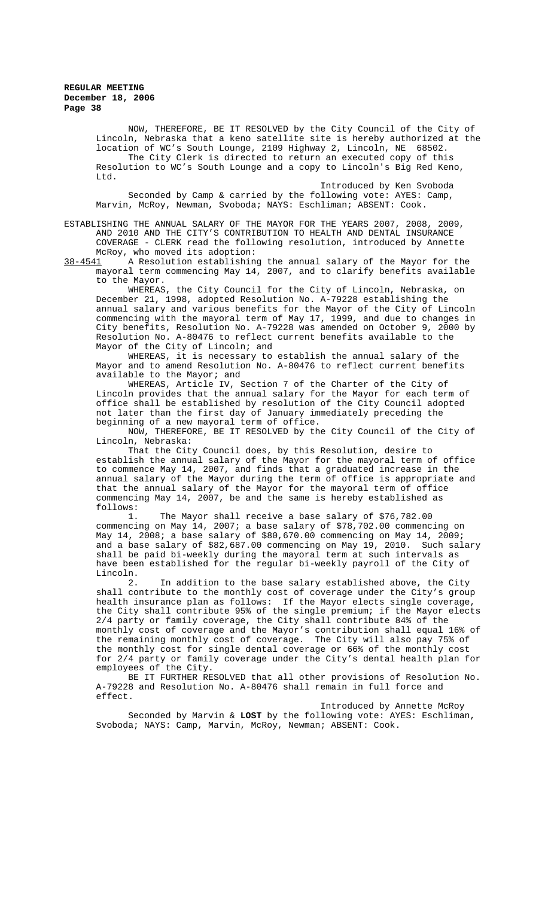NOW, THEREFORE, BE IT RESOLVED by the City Council of the City of Lincoln, Nebraska that a keno satellite site is hereby authorized at the location of WC's South Lounge, 2109 Highway 2, Lincoln, NE 68502. The City Clerk is directed to return an executed copy of this Resolution to WC's South Lounge and a copy to Lincoln's Big Red Keno, Ltd.

Introduced by Ken Svoboda Seconded by Camp & carried by the following vote: AYES: Camp, Marvin, McRoy, Newman, Svoboda; NAYS: Eschliman; ABSENT: Cook.

ESTABLISHING THE ANNUAL SALARY OF THE MAYOR FOR THE YEARS 2007, 2008, 2009, AND 2010 AND THE CITY'S CONTRIBUTION TO HEALTH AND DENTAL INSURANCE COVERAGE - CLERK read the following resolution, introduced by Annette McRoy, who moved its adoption:<br>38-4541 A Resolution establishing

A Resolution establishing the annual salary of the Mayor for the mayoral term commencing May 14, 2007, and to clarify benefits available to the Mayor.

WHEREAS, the City Council for the City of Lincoln, Nebraska, on December 21, 1998, adopted Resolution No. A-79228 establishing the annual salary and various benefits for the Mayor of the City of Lincoln commencing with the mayoral term of May 17, 1999, and due to changes in City benefits, Resolution No. A-79228 was amended on October 9, 2000 by Resolution No. A-80476 to reflect current benefits available to the Mayor of the City of Lincoln; and

WHEREAS, it is necessary to establish the annual salary of the Mayor and to amend Resolution No. A-80476 to reflect current benefits available to the Mayor; and

WHEREAS, Article IV, Section 7 of the Charter of the City of Lincoln provides that the annual salary for the Mayor for each term of office shall be established by resolution of the City Council adopted not later than the first day of January immediately preceding the beginning of a new mayoral term of office.

NOW, THEREFORE, BE IT RESOLVED by the City Council of the City of Lincoln, Nebraska:

That the City Council does, by this Resolution, desire to establish the annual salary of the Mayor for the mayoral term of office to commence May 14, 2007, and finds that a graduated increase in the annual salary of the Mayor during the term of office is appropriate and that the annual salary of the Mayor for the mayoral term of office commencing May 14, 2007, be and the same is hereby established as follows:

1. The Mayor shall receive a base salary of \$76,782.00 commencing on May 14, 2007; a base salary of \$78,702.00 commencing on May 14, 2008; a base salary of \$80,670.00 commencing on May 14, 2009; and a base salary of \$82,687.00 commencing on May 19, 2010. Such salary shall be paid bi-weekly during the mayoral term at such intervals as have been established for the regular bi-weekly payroll of the City of Lincoln.

2. In addition to the base salary established above, the City shall contribute to the monthly cost of coverage under the City's group health insurance plan as follows: If the Mayor elects single coverage, the City shall contribute 95% of the single premium; if the Mayor elects 2/4 party or family coverage, the City shall contribute 84% of the monthly cost of coverage and the Mayor's contribution shall equal 16% of the remaining monthly cost of coverage. The City will also pay 75% of the monthly cost for single dental coverage or 66% of the monthly cost for 2/4 party or family coverage under the City's dental health plan for employees of the City.

BE IT FURTHER RESOLVED that all other provisions of Resolution No. A-79228 and Resolution No. A-80476 shall remain in full force and effect.

Introduced by Annette McRoy

Seconded by Marvin & **LOST** by the following vote: AYES: Eschliman, Svoboda; NAYS: Camp, Marvin, McRoy, Newman; ABSENT: Cook.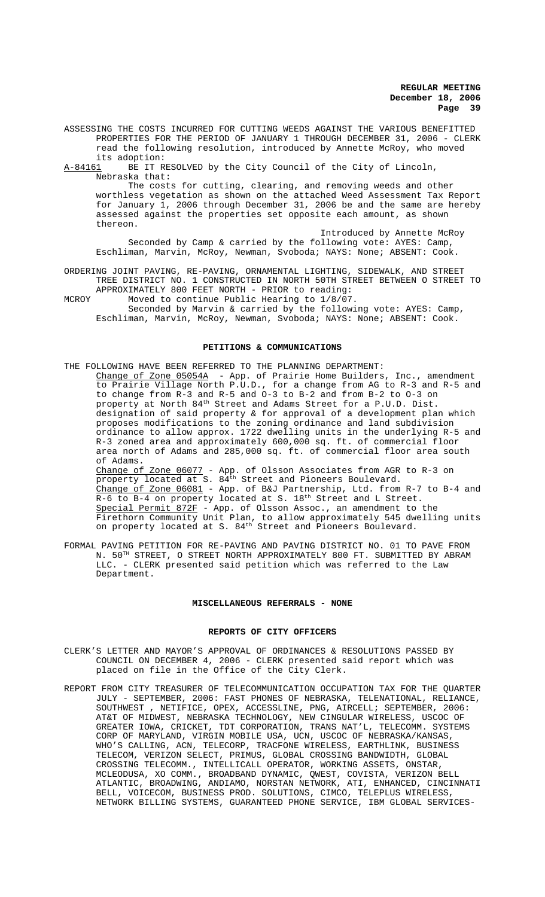ASSESSING THE COSTS INCURRED FOR CUTTING WEEDS AGAINST THE VARIOUS BENEFITTED PROPERTIES FOR THE PERIOD OF JANUARY 1 THROUGH DECEMBER 31, 2006 - CLERK read the following resolution, introduced by Annette McRoy, who moved its adoption:<br><u>A-84161</u> BE IT RI

BE IT RESOLVED by the City Council of the City of Lincoln, Nebraska that:

The costs for cutting, clearing, and removing weeds and other worthless vegetation as shown on the attached Weed Assessment Tax Report for January 1, 2006 through December 31, 2006 be and the same are hereby assessed against the properties set opposite each amount, as shown thereon.

Introduced by Annette McRoy Seconded by Camp & carried by the following vote: AYES: Camp, Eschliman, Marvin, McRoy, Newman, Svoboda; NAYS: None; ABSENT: Cook.

- ORDERING JOINT PAVING, RE-PAVING, ORNAMENTAL LIGHTING, SIDEWALK, AND STREET TREE DISTRICT NO. 1 CONSTRUCTED IN NORTH 50TH STREET BETWEEN O STREET TO APPROXIMATELY 800 FEET NORTH - PRIOR to reading:
- MCROY Moved to continue Public Hearing to 1/8/07. Seconded by Marvin & carried by the following vote: AYES: Camp, Eschliman, Marvin, McRoy, Newman, Svoboda; NAYS: None; ABSENT: Cook.

### **PETITIONS & COMMUNICATIONS**

THE FOLLOWING HAVE BEEN REFERRED TO THE PLANNING DEPARTMENT: Change of Zone 05054A - App. of Prairie Home Builders, Inc., amendment to Prairie Village North P.U.D., for a change from AG to R-3 and R-5 and to change from R-3 and R-5 and O-3 to B-2 and from B-2 to O-3 on property at North 84th Street and Adams Street for a P.U.D. Dist. designation of said property & for approval of a development plan which proposes modifications to the zoning ordinance and land subdivision ordinance to allow approx. 1722 dwelling units in the underlying R-5 and R-3 zoned area and approximately 600,000 sq. ft. of commercial floor area north of Adams and 285,000 sq. ft. of commercial floor area south of Adams. Change of Zone 06077 - App. of Olsson Associates from AGR to R-3 on property located at S.  $84^{\text{th}}$  Street and Pioneers Boulevard. Change of Zone 06081 - App. of B&J Partnership, Ltd. from R-7 to B-4 and R-6 to B-4 on property located at S. 18<sup>th</sup> Street and L Street. Special Permit 872F - App. of Olsson Assoc., an amendment to the Firethorn Community Unit Plan, to allow approximately 545 dwelling units on property located at S. 84<sup>th</sup> Street and Pioneers Boulevard.

FORMAL PAVING PETITION FOR RE-PAVING AND PAVING DISTRICT NO. 01 TO PAVE FROM N. 50TH STREET, O STREET NORTH APPROXIMATELY 800 FT. SUBMITTED BY ABRAM LLC. - CLERK presented said petition which was referred to the Law Department.

#### **MISCELLANEOUS REFERRALS - NONE**

#### **REPORTS OF CITY OFFICERS**

- CLERK'S LETTER AND MAYOR'S APPROVAL OF ORDINANCES & RESOLUTIONS PASSED BY COUNCIL ON DECEMBER 4, 2006 - CLERK presented said report which was placed on file in the Office of the City Clerk.
- REPORT FROM CITY TREASURER OF TELECOMMUNICATION OCCUPATION TAX FOR THE QUARTER JULY - SEPTEMBER, 2006: FAST PHONES OF NEBRASKA, TELENATIONAL, RELIANCE, SOUTHWEST , NETIFICE, OPEX, ACCESSLINE, PNG, AIRCELL; SEPTEMBER, 2006: AT&T OF MIDWEST, NEBRASKA TECHNOLOGY, NEW CINGULAR WIRELESS, USCOC OF GREATER IOWA, CRICKET, TDT CORPORATION, TRANS NAT'L, TELECOMM. SYSTEMS CORP OF MARYLAND, VIRGIN MOBILE USA, UCN, USCOC OF NEBRASKA/KANSAS, WHO'S CALLING, ACN, TELECORP, TRACFONE WIRELESS, EARTHLINK, BUSINESS TELECOM, VERIZON SELECT, PRIMUS, GLOBAL CROSSING BANDWIDTH, GLOBAL CROSSING TELECOMM., INTELLICALL OPERATOR, WORKING ASSETS, ONSTAR, MCLEODUSA, XO COMM., BROADBAND DYNAMIC, QWEST, COVISTA, VERIZON BELL ATLANTIC, BROADWING, ANDIAMO, NORSTAN NETWORK, ATI, ENHANCED, CINCINNATI BELL, VOICECOM, BUSINESS PROD. SOLUTIONS, CIMCO, TELEPLUS WIRELESS, NETWORK BILLING SYSTEMS, GUARANTEED PHONE SERVICE, IBM GLOBAL SERVICES-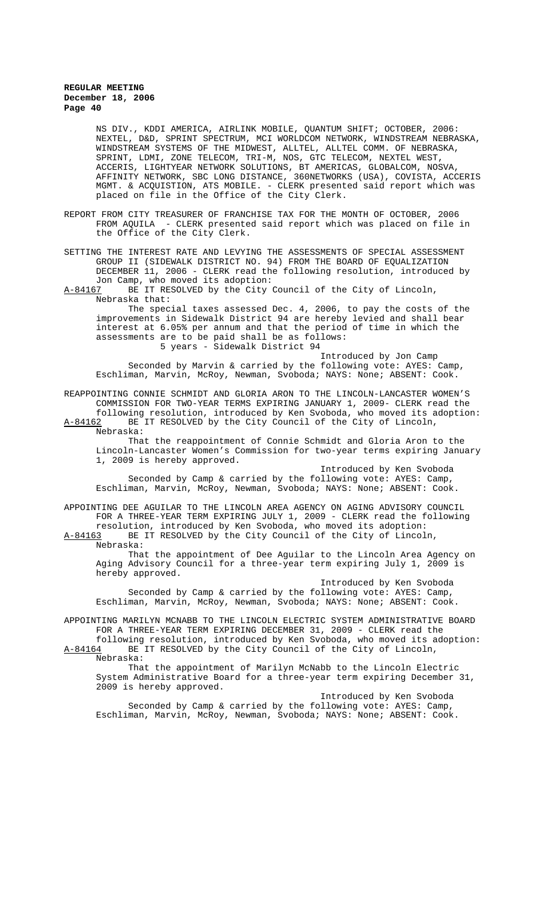NS DIV., KDDI AMERICA, AIRLINK MOBILE, QUANTUM SHIFT; OCTOBER, 2006: NEXTEL, D&D, SPRINT SPECTRUM, MCI WORLDCOM NETWORK, WINDSTREAM NEBRASKA, WINDSTREAM SYSTEMS OF THE MIDWEST, ALLTEL, ALLTEL COMM. OF NEBRASKA, SPRINT, LDMI, ZONE TELECOM, TRI-M, NOS, GTC TELECOM, NEXTEL WEST, ACCERIS, LIGHTYEAR NETWORK SOLUTIONS, BT AMERICAS, GLOBALCOM, NOSVA, AFFINITY NETWORK, SBC LONG DISTANCE, 360NETWORKS (USA), COVISTA, ACCERIS MGMT. & ACQUISTION, ATS MOBILE. - CLERK presented said report which was placed on file in the Office of the City Clerk.

REPORT FROM CITY TREASURER OF FRANCHISE TAX FOR THE MONTH OF OCTOBER, 2006 FROM AQUILA - CLERK presented said report which was placed on file in the Office of the City Clerk.

SETTING THE INTEREST RATE AND LEVYING THE ASSESSMENTS OF SPECIAL ASSESSMENT GROUP II (SIDEWALK DISTRICT NO. 94) FROM THE BOARD OF EQUALIZATION DECEMBER 11, 2006 - CLERK read the following resolution, introduced by Jon Camp, who moved its adoption:<br>A-84167 BE IT RESOLVED by the City (

BE IT RESOLVED by the City Council of the City of Lincoln, Nebraska that:

The special taxes assessed Dec. 4, 2006, to pay the costs of the improvements in Sidewalk District 94 are hereby levied and shall bear interest at 6.05% per annum and that the period of time in which the assessments are to be paid shall be as follows: 5 years - Sidewalk District 94

Introduced by Jon Camp Seconded by Marvin & carried by the following vote: AYES: Camp, Eschliman, Marvin, McRoy, Newman, Svoboda; NAYS: None; ABSENT: Cook.

REAPPOINTING CONNIE SCHMIDT AND GLORIA ARON TO THE LINCOLN-LANCASTER WOMEN'S COMMISSION FOR TWO-YEAR TERMS EXPIRING JANUARY 1, 2009- CLERK read the following resolution, introduced by Ken Svoboda, who moved its adoption: A-84162 BE IT RESOLVED by the City Council of the City of Lincoln, Nebraska:

That the reappointment of Connie Schmidt and Gloria Aron to the Lincoln-Lancaster Women's Commission for two-year terms expiring January 1, 2009 is hereby approved.

Introduced by Ken Svoboda Seconded by Camp & carried by the following vote: AYES: Camp, Eschliman, Marvin, McRoy, Newman, Svoboda; NAYS: None; ABSENT: Cook.

APPOINTING DEE AGUILAR TO THE LINCOLN AREA AGENCY ON AGING ADVISORY COUNCIL FOR A THREE-YEAR TERM EXPIRING JULY 1, 2009 - CLERK read the following

resolution, introduced by Ken Svoboda, who moved its adoption: A-84163 BE IT RESOLVED by the City Council of the City of Lincoln, Nebraska:

That the appointment of Dee Aguilar to the Lincoln Area Agency on Aging Advisory Council for a three-year term expiring July 1, 2009 is hereby approved.

Introduced by Ken Svoboda Seconded by Camp & carried by the following vote: AYES: Camp, Eschliman, Marvin, McRoy, Newman, Svoboda; NAYS: None; ABSENT: Cook.

APPOINTING MARILYN MCNABB TO THE LINCOLN ELECTRIC SYSTEM ADMINISTRATIVE BOARD FOR A THREE-YEAR TERM EXPIRING DECEMBER 31, 2009 - CLERK read the

following resolution, introduced by Ken Svoboda, who moved its adoption:<br>A-84164 BE IT RESOLVED by the City Council of the City of Lincoln, BE IT RESOLVED by the City Council of the City of Lincoln, Nebraska:

That the appointment of Marilyn McNabb to the Lincoln Electric System Administrative Board for a three-year term expiring December 31, 2009 is hereby approved.

Introduced by Ken Svoboda Seconded by Camp & carried by the following vote: AYES: Camp, Eschliman, Marvin, McRoy, Newman, Svoboda; NAYS: None; ABSENT: Cook.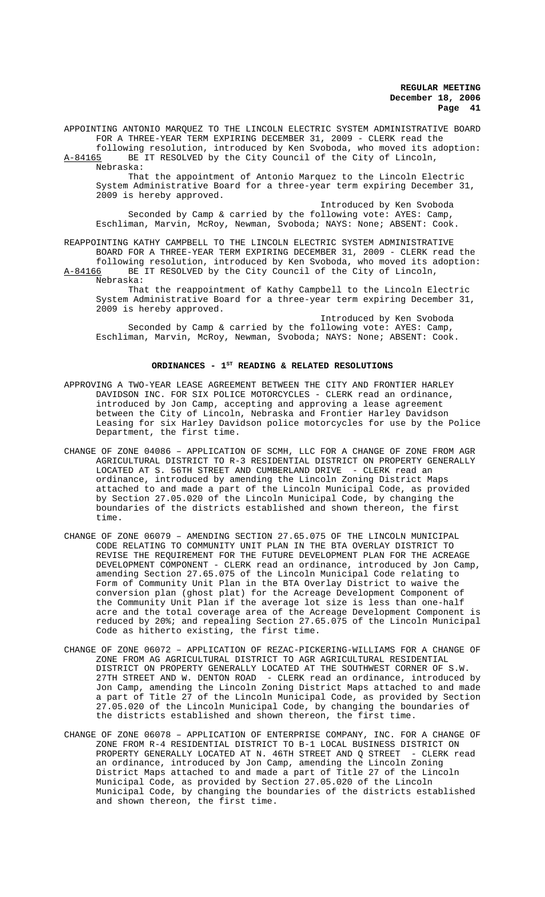APPOINTING ANTONIO MARQUEZ TO THE LINCOLN ELECTRIC SYSTEM ADMINISTRATIVE BOARD FOR A THREE-YEAR TERM EXPIRING DECEMBER 31, 2009 - CLERK read the

following resolution, introduced by Ken Svoboda, who moved its adoption: A-84165 BE IT RESOLVED by the City Council of the City of Lincoln, Nebraska:

That the appointment of Antonio Marquez to the Lincoln Electric System Administrative Board for a three-year term expiring December 31, 2009 is hereby approved.

Introduced by Ken Svoboda Seconded by Camp & carried by the following vote: AYES: Camp, Eschliman, Marvin, McRoy, Newman, Svoboda; NAYS: None; ABSENT: Cook.

REAPPOINTING KATHY CAMPBELL TO THE LINCOLN ELECTRIC SYSTEM ADMINISTRATIVE BOARD FOR A THREE-YEAR TERM EXPIRING DECEMBER 31, 2009 - CLERK read the following resolution, introduced by Ken Svoboda, who moved its adoption:<br>A-84166 BE IT RESOLVED by the City Council of the City of Lincoln,

BE IT RESOLVED by the City Council of the City of Lincoln, Nebraska:

That the reappointment of Kathy Campbell to the Lincoln Electric System Administrative Board for a three-year term expiring December 31, 2009 is hereby approved.

Introduced by Ken Svoboda Seconded by Camp & carried by the following vote: AYES: Camp, Eschliman, Marvin, McRoy, Newman, Svoboda; NAYS: None; ABSENT: Cook.

## ORDINANCES - 1<sup>st</sup> READING & RELATED RESOLUTIONS

- APPROVING A TWO-YEAR LEASE AGREEMENT BETWEEN THE CITY AND FRONTIER HARLEY DAVIDSON INC. FOR SIX POLICE MOTORCYCLES - CLERK read an ordinance, introduced by Jon Camp, accepting and approving a lease agreement between the City of Lincoln, Nebraska and Frontier Harley Davidson Leasing for six Harley Davidson police motorcycles for use by the Police Department, the first time.
- CHANGE OF ZONE 04086 APPLICATION OF SCMH, LLC FOR A CHANGE OF ZONE FROM AGR AGRICULTURAL DISTRICT TO R-3 RESIDENTIAL DISTRICT ON PROPERTY GENERALLY LOCATED AT S. 56TH STREET AND CUMBERLAND DRIVE - CLERK read an ordinance, introduced by amending the Lincoln Zoning District Maps attached to and made a part of the Lincoln Municipal Code, as provided by Section 27.05.020 of the Lincoln Municipal Code, by changing the boundaries of the districts established and shown thereon, the first time.
- CHANGE OF ZONE 06079 AMENDING SECTION 27.65.075 OF THE LINCOLN MUNICIPAL CODE RELATING TO COMMUNITY UNIT PLAN IN THE BTA OVERLAY DISTRICT TO REVISE THE REQUIREMENT FOR THE FUTURE DEVELOPMENT PLAN FOR THE ACREAGE DEVELOPMENT COMPONENT - CLERK read an ordinance, introduced by Jon Camp, amending Section 27.65.075 of the Lincoln Municipal Code relating to Form of Community Unit Plan in the BTA Overlay District to waive the conversion plan (ghost plat) for the Acreage Development Component of the Community Unit Plan if the average lot size is less than one-half acre and the total coverage area of the Acreage Development Component is reduced by 20%; and repealing Section 27.65.075 of the Lincoln Municipal Code as hitherto existing, the first time.
- CHANGE OF ZONE 06072 APPLICATION OF REZAC-PICKERING-WILLIAMS FOR A CHANGE OF ZONE FROM AG AGRICULTURAL DISTRICT TO AGR AGRICULTURAL RESIDENTIAL DISTRICT ON PROPERTY GENERALLY LOCATED AT THE SOUTHWEST CORNER OF S.W. 27TH STREET AND W. DENTON ROAD - CLERK read an ordinance, introduced by Jon Camp, amending the Lincoln Zoning District Maps attached to and made a part of Title 27 of the Lincoln Municipal Code, as provided by Section 27.05.020 of the Lincoln Municipal Code, by changing the boundaries of the districts established and shown thereon, the first time.
- CHANGE OF ZONE 06078 APPLICATION OF ENTERPRISE COMPANY, INC. FOR A CHANGE OF ZONE FROM R-4 RESIDENTIAL DISTRICT TO B-1 LOCAL BUSINESS DISTRICT ON PROPERTY GENERALLY LOCATED AT N. 46TH STREET AND Q STREET - CLERK read an ordinance, introduced by Jon Camp, amending the Lincoln Zoning District Maps attached to and made a part of Title 27 of the Lincoln Municipal Code, as provided by Section 27.05.020 of the Lincoln Municipal Code, by changing the boundaries of the districts established and shown thereon, the first time.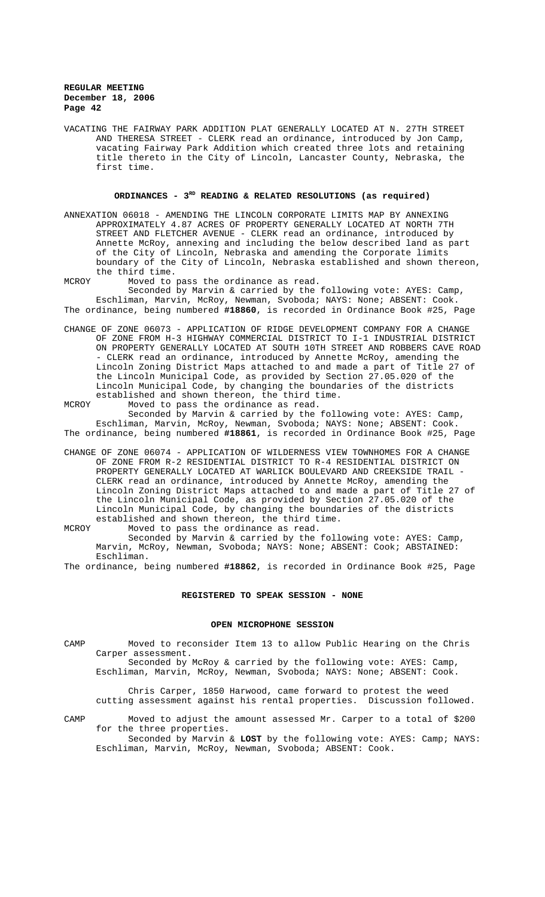VACATING THE FAIRWAY PARK ADDITION PLAT GENERALLY LOCATED AT N. 27TH STREET AND THERESA STREET - CLERK read an ordinance, introduced by Jon Camp, vacating Fairway Park Addition which created three lots and retaining title thereto in the City of Lincoln, Lancaster County, Nebraska, the first time.

# ORDINANCES - 3<sup>RD</sup> READING & RELATED RESOLUTIONS (as required)

ANNEXATION 06018 - AMENDING THE LINCOLN CORPORATE LIMITS MAP BY ANNEXING APPROXIMATELY 4.87 ACRES OF PROPERTY GENERALLY LOCATED AT NORTH 7TH STREET AND FLETCHER AVENUE - CLERK read an ordinance, introduced by Annette McRoy, annexing and including the below described land as part of the City of Lincoln, Nebraska and amending the Corporate limits boundary of the City of Lincoln, Nebraska established and shown thereon, the third time.

MCROY Moved to pass the ordinance as read. Seconded by Marvin & carried by the following vote: AYES: Camp, Eschliman, Marvin, McRoy, Newman, Svoboda; NAYS: None; ABSENT: Cook. The ordinance, being numbered **#18860**, is recorded in Ordinance Book #25, Page

- CHANGE OF ZONE 06073 APPLICATION OF RIDGE DEVELOPMENT COMPANY FOR A CHANGE OF ZONE FROM H-3 HIGHWAY COMMERCIAL DISTRICT TO I-1 INDUSTRIAL DISTRICT ON PROPERTY GENERALLY LOCATED AT SOUTH 10TH STREET AND ROBBERS CAVE ROAD - CLERK read an ordinance, introduced by Annette McRoy, amending the Lincoln Zoning District Maps attached to and made a part of Title 27 of the Lincoln Municipal Code, as provided by Section 27.05.020 of the Lincoln Municipal Code, by changing the boundaries of the districts established and shown thereon, the third time.
- MCROY Moved to pass the ordinance as read.

Seconded by Marvin & carried by the following vote: AYES: Camp, Eschliman, Marvin, McRoy, Newman, Svoboda; NAYS: None; ABSENT: Cook. The ordinance, being numbered **#18861**, is recorded in Ordinance Book #25, Page

- CHANGE OF ZONE 06074 APPLICATION OF WILDERNESS VIEW TOWNHOMES FOR A CHANGE OF ZONE FROM R-2 RESIDENTIAL DISTRICT TO R-4 RESIDENTIAL DISTRICT ON PROPERTY GENERALLY LOCATED AT WARLICK BOULEVARD AND CREEKSIDE TRAIL - CLERK read an ordinance, introduced by Annette McRoy, amending the Lincoln Zoning District Maps attached to and made a part of Title 27 of the Lincoln Municipal Code, as provided by Section 27.05.020 of the Lincoln Municipal Code, by changing the boundaries of the districts established and shown thereon, the third time.
- MCROY Moved to pass the ordinance as read. Seconded by Marvin & carried by the following vote: AYES: Camp, Marvin, McRoy, Newman, Svoboda; NAYS: None; ABSENT: Cook; ABSTAINED: Eschliman.

The ordinance, being numbered **#18862**, is recorded in Ordinance Book #25, Page

## **REGISTERED TO SPEAK SESSION - NONE**

#### **OPEN MICROPHONE SESSION**

CAMP Moved to reconsider Item 13 to allow Public Hearing on the Chris Carper assessment. Seconded by McRoy & carried by the following vote: AYES: Camp, Eschliman, Marvin, McRoy, Newman, Svoboda; NAYS: None; ABSENT: Cook.

Chris Carper, 1850 Harwood, came forward to protest the weed cutting assessment against his rental properties. Discussion followed.

CAMP Moved to adjust the amount assessed Mr. Carper to a total of \$200 for the three properties. Seconded by Marvin & **LOST** by the following vote: AYES: Camp; NAYS: Eschliman, Marvin, McRoy, Newman, Svoboda; ABSENT: Cook.